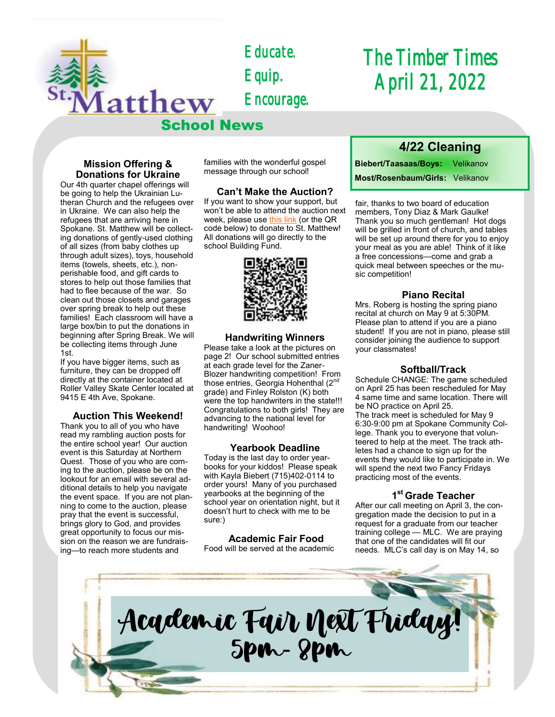

*Educate. Equip. Encourage.* 

## *The Timber Times April 21, 2022*

#### **Mission Offering & Donations for Ukraine**

Our 4th quarter chapel offerings will be going to help the Ukrainian Lutheran Church and the refugees over in Ukraine. We can also help the refugees that are arriving here in Spokane. St. Matthew will be collecting donations of gently-used clothing of all sizes (from baby clothes up through adult sizes), toys, household items (towels, sheets, etc.), nonperishable food, and gift cards to stores to help out those families that had to flee because of the war. So clean out those closets and garages over spring break to help out these families! Each classroom will have a large box/bin to put the donations in beginning after Spring Break. We will be collecting items through June 1st.

If you have bigger items, such as furniture, they can be dropped off directly at the container located at Roller Valley Skate Center located at 9415 E 4th Ave, Spokane.

#### **Auction This Weekend!**

Thank you to all of you who have read my rambling auction posts for the entire school year! Our auction event is this Saturday at Northern Quest. Those of you who are coming to the auction, please be on the lookout for an email with several additional details to help you navigate the event space. If you are not planning to come to the auction, please pray that the event is successful, brings glory to God, and provides great opportunity to focus our mission on the reason we are fundraising—to reach more students and

families with the wonderful gospel message through our school!

#### **Can't Make the Auction?**

If you want to show your support, but won't be able to attend the auction next week, please use [this link](https://checkout.square.site/merchant/ML2C9004D14HE/checkout/7JEUGYMEXWCNVI5RVGGEPJDJ) (or the QR code below) to donate to St. Matthew! All donations will go directly to the school Building Fund.



#### **Handwriting Winners**

Please take a look at the pictures on page 2! Our school submitted entries at each grade level for the Zaner-Blozer handwriting competition! From those entries, Georgia Hohenthal  $(2^{nc}$ grade) and Finley Rolston (K) both were the top handwriters in the state!!! Congratulations to both girls! They are advancing to the national level for handwriting! Woohoo!

#### **Yearbook Deadline**

Today is the last day to order yearbooks for your kiddos! Please speak with Kayla Biebert (715)402-0114 to order yours! Many of you purchased yearbooks at the beginning of the school year on orientation night, but it doesn't hurt to check with me to be sure:)

#### **Academic Fair Food**

Food will be served at the academic

### **4/22 Cleaning**

**Biebert/Taasaas/Boys:** Velikanov **Most/Rosenbaum/Girls:** Velikanov

fair, thanks to two board of education members, Tony Diaz & Mark Gaulke! Thank you so much gentleman! Hot dogs will be grilled in front of church, and tables will be set up around there for you to enjoy your meal as you are able! Think of it like a free concessions—come and grab a quick meal between speeches or the music competition!

#### **Piano Recital**

Mrs. Roberg is hosting the spring piano recital at church on May 9 at 5:30PM. Please plan to attend if you are a piano student! If you are not in piano, please still consider joining the audience to support your classmates!

#### **Softball/Track**

Schedule CHANGE: The game scheduled on April 25 has been rescheduled for May 4 same time and same location. There will be NO practice on April 25. The track meet is scheduled for May 9 6:30-9:00 pm at Spokane Community College. Thank you to everyone that volunteered to help at the meet. The track athletes had a chance to sign up for the events they would like to participate in. We will spend the next two Fancy Fridays practicing most of the events.

#### **1 st Grade Teacher**

After our call meeting on April 3, the congregation made the decision to put in a request for a graduate from our teacher training college — MLC. We are praying that one of the candidates will fit our needs. MLC's call day is on May 14, so

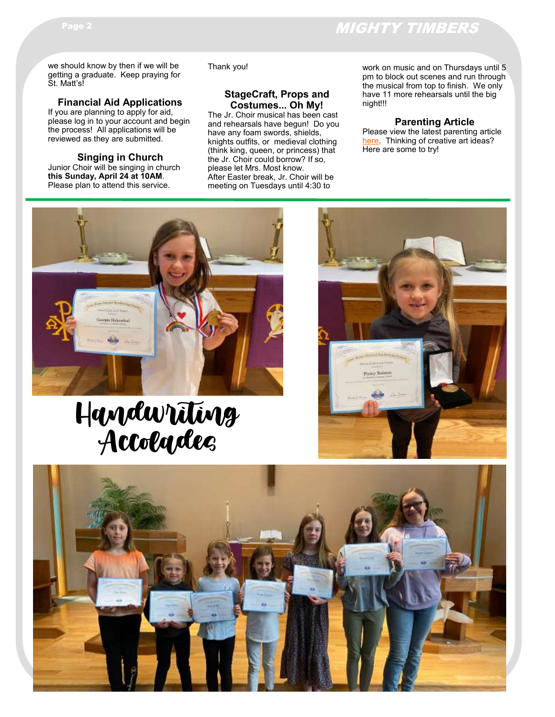## Page 2 MIGHTY TIMBERS

we should know by then if we will be getting a graduate. Keep praying for St. Matt's!

#### **Financial Aid Applications**

If you are planning to apply for aid, please log in to your account and begin the process! All applications will be reviewed as they are submitted.

**Singing in Church** Junior Choir will be singing in church **this Sunday, April 24 at 10AM**. Please plan to attend this service.

#### Thank you!

#### **StageCraft, Props and Costumes... Oh My!**

The Jr. Choir musical has been cast and rehearsals have begun! Do you have any foam swords, shields, knights outfits, or medieval clothing (think king, queen, or princess) that the Jr. Choir could borrow? If so, please let Mrs. Most know. After Easter break, Jr. Choir will be meeting on Tuesdays until 4:30 to

work on music and on Thursdays until 5 pm to block out scenes and run through the musical from top to finish. We only have 11 more rehearsals until the big night!!!

#### **Parenting Article**

Please view the latest parenting article [here.](https://www.naeyc.org/resources/pubs/tyc/feb2014/process-art-experiences) Thinking of creative art ideas? Here are some to try!



# Handwriting Accolades



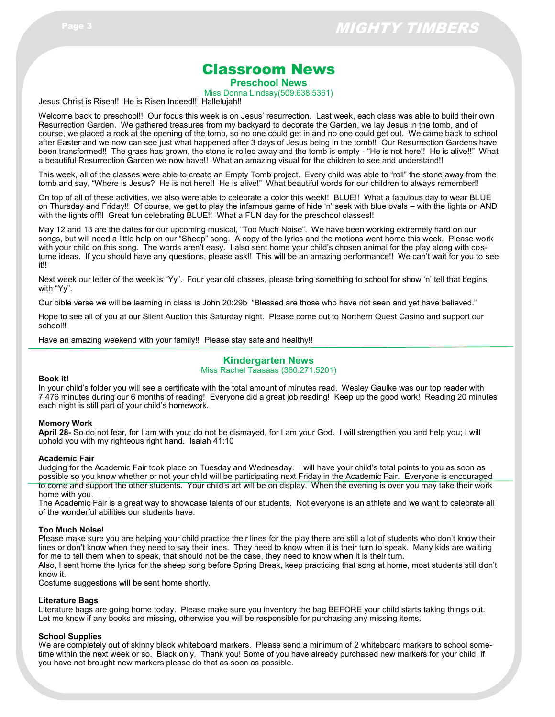## Classroom News

**Preschool News**

Miss Donna Lindsay(509.638.5361)

Jesus Christ is Risen!! He is Risen Indeed!! Hallelujah!!

Welcome back to preschool!! Our focus this week is on Jesus' resurrection. Last week, each class was able to build their own Resurrection Garden. We gathered treasures from my backyard to decorate the Garden, we lay Jesus in the tomb, and of course, we placed a rock at the opening of the tomb, so no one could get in and no one could get out. We came back to school after Easter and we now can see just what happened after 3 days of Jesus being in the tomb!! Our Resurrection Gardens have been transformed!! The grass has grown, the stone is rolled away and the tomb is empty - "He is not here!! He is alive!!" What a beautiful Resurrection Garden we now have!! What an amazing visual for the children to see and understand!!

This week, all of the classes were able to create an Empty Tomb project. Every child was able to "roll" the stone away from the tomb and say, "Where is Jesus? He is not here!! He is alive!" What beautiful words for our children to always remember!!

On top of all of these activities, we also were able to celebrate a color this week!! BLUE!! What a fabulous day to wear BLUE on Thursday and Friday!! Of course, we get to play the infamous game of hide 'n' seek with blue ovals – with the lights on AND with the lights off!! Great fun celebrating BLUE!! What a FUN day for the preschool classes!!

May 12 and 13 are the dates for our upcoming musical, "Too Much Noise". We have been working extremely hard on our songs, but will need a little help on our "Sheep" song. A copy of the lyrics and the motions went home this week. Please work with your child on this song. The words aren't easy. I also sent home your child's chosen animal for the play along with costume ideas. If you should have any questions, please ask!! This will be an amazing performance!! We can't wait for you to see it!!

Next week our letter of the week is "Yy". Four year old classes, please bring something to school for show 'n' tell that begins with "Yy".

Our bible verse we will be learning in class is John 20:29b "Blessed are those who have not seen and yet have believed."

Hope to see all of you at our Silent Auction this Saturday night. Please come out to Northern Quest Casino and support our school!!

Have an amazing weekend with your family!! Please stay safe and healthy!!

#### **Kindergarten News**

Miss Rachel Taasaas (360.271.5201)

#### **Book it!**

In your child's folder you will see a certificate with the total amount of minutes read. Wesley Gaulke was our top reader with 7,476 minutes during our 6 months of reading! Everyone did a great job reading! Keep up the good work! Reading 20 minutes each night is still part of your child's homework.

#### **Memory Work**

**April 28-** So do not fear, for I am with you; do not be dismayed, for I am your God. I will strengthen you and help you; I will uphold you with my righteous right hand. Isaiah 41:10

#### **Academic Fair**

Judging for the Academic Fair took place on Tuesday and Wednesday. I will have your child's total points to you as soon as possible so you know whether or not your child will be participating next Friday in the Academic Fair. Everyone is encouraged to come and support the other students. Your child's art will be on display. When the evening is over you may take their work home with you.

The Academic Fair is a great way to showcase talents of our students. Not everyone is an athlete and we want to celebrate all of the wonderful abilities our students have.

#### **Too Much Noise!**

Please make sure you are helping your child practice their lines for the play there are still a lot of students who don't know their lines or don't know when they need to say their lines. They need to know when it is their turn to speak. Many kids are waiting for me to tell them when to speak, that should not be the case, they need to know when it is their turn.

Also, I sent home the lyrics for the sheep song before Spring Break, keep practicing that song at home, most students still don't know it.

Costume suggestions will be sent home shortly.

#### **Literature Bags**

Literature bags are going home today. Please make sure you inventory the bag BEFORE your child starts taking things out. Let me know if any books are missing, otherwise you will be responsible for purchasing any missing items.

#### **School Supplies**

We are completely out of skinny black whiteboard markers. Please send a minimum of 2 whiteboard markers to school sometime within the next week or so. Black only. Thank you! Some of you have already purchased new markers for your child, if you have not brought new markers please do that as soon as possible.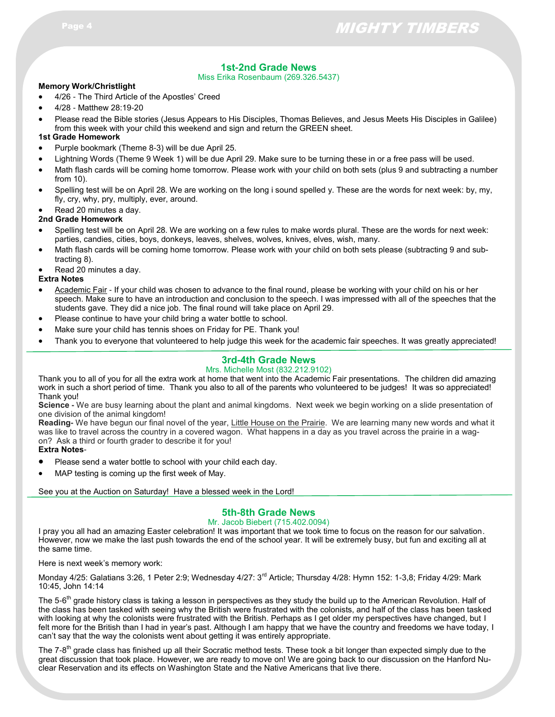#### **1st-2nd Grade News**

Miss Erika Rosenbaum (269.326.5437)

#### **Memory Work/Christlight**

- 4/26 The Third Article of the Apostles' Creed
- 4/28 Matthew 28:19-20
- Please read the Bible stories (Jesus Appears to His Disciples, Thomas Believes, and Jesus Meets His Disciples in Galilee) from this week with your child this weekend and sign and return the GREEN sheet.

#### **1st Grade Homework**

- Purple bookmark (Theme 8-3) will be due April 25.
- Lightning Words (Theme 9 Week 1) will be due April 29. Make sure to be turning these in or a free pass will be used.
- Math flash cards will be coming home tomorrow. Please work with your child on both sets (plus 9 and subtracting a number from 10).
- Spelling test will be on April 28. We are working on the long i sound spelled y. These are the words for next week: by, my, fly, cry, why, pry, multiply, ever, around.
- Read 20 minutes a day.

#### **2nd Grade Homework**

- Spelling test will be on April 28. We are working on a few rules to make words plural. These are the words for next week: parties, candies, cities, boys, donkeys, leaves, shelves, wolves, knives, elves, wish, many.
- Math flash cards will be coming home tomorrow. Please work with your child on both sets please (subtracting 9 and subtracting 8).
- Read 20 minutes a day.

#### **Extra Notes**

- Academic Fair If your child was chosen to advance to the final round, please be working with your child on his or her speech. Make sure to have an introduction and conclusion to the speech. I was impressed with all of the speeches that the students gave. They did a nice job. The final round will take place on April 29.
- Please continue to have your child bring a water bottle to school.
- Make sure your child has tennis shoes on Friday for PE. Thank you!
- Thank you to everyone that volunteered to help judge this week for the academic fair speeches. It was greatly appreciated!

#### **3rd-4th Grade News**

#### Mrs. Michelle Most (832.212.9102)

Thank you to all of you for all the extra work at home that went into the Academic Fair presentations. The children did amazing work in such a short period of time. Thank you also to all of the parents who volunteered to be judges! It was so appreciated! Thank you!

**Science -** We are busy learning about the plant and animal kingdoms. Next week we begin working on a slide presentation of one division of the animal kingdom!

**Reading-** We have begun our final novel of the year, Little House on the Prairie. We are learning many new words and what it was like to travel across the country in a covered wagon. What happens in a day as you travel across the prairie in a wagon? Ask a third or fourth grader to describe it for you! **Extra Notes**-

- Please send a water bottle to school with your child each day.
- MAP testing is coming up the first week of May.

See you at the Auction on Saturday! Have a blessed week in the Lord!

#### **5th-8th Grade News**

#### Mr. Jacob Biebert (715.402.0094)

I pray you all had an amazing Easter celebration! It was important that we took time to focus on the reason for our salvation. However, now we make the last push towards the end of the school year. It will be extremely busy, but fun and exciting all at the same time.

Here is next week's memory work:

Monday 4/25: Galatians 3:26, 1 Peter 2:9; Wednesday 4/27: 3<sup>rd</sup> Article; Thursday 4/28: Hymn 152: 1-3,8; Friday 4/29: Mark 10:45, John 14:14

The 5-6<sup>th</sup> grade history class is taking a lesson in perspectives as they study the build up to the American Revolution. Half of the class has been tasked with seeing why the British were frustrated with the colonists, and half of the class has been tasked with looking at why the colonists were frustrated with the British. Perhaps as I get older my perspectives have changed, but I felt more for the British than I had in year's past. Although I am happy that we have the country and freedoms we have today, I can't say that the way the colonists went about getting it was entirely appropriate.

The 7-8<sup>th</sup> grade class has finished up all their Socratic method tests. These took a bit longer than expected simply due to the great discussion that took place. However, we are ready to move on! We are going back to our discussion on the Hanford Nuclear Reservation and its effects on Washington State and the Native Americans that live there.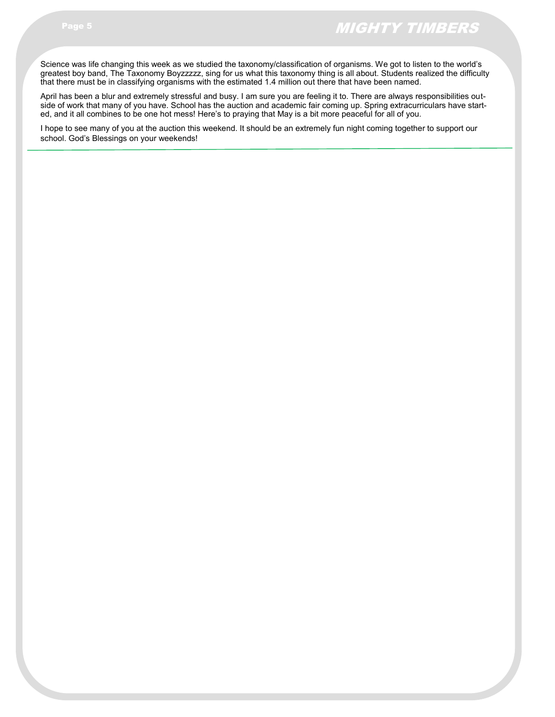Science was life changing this week as we studied the taxonomy/classification of organisms. We got to listen to the world's greatest boy band, The Taxonomy Boyzzzzz, sing for us what this taxonomy thing is all about. Students realized the difficulty that there must be in classifying organisms with the estimated 1.4 million out there that have been named.

April has been a blur and extremely stressful and busy. I am sure you are feeling it to. There are always responsibilities outside of work that many of you have. School has the auction and academic fair coming up. Spring extracurriculars have started, and it all combines to be one hot mess! Here's to praying that May is a bit more peaceful for all of you.

I hope to see many of you at the auction this weekend. It should be an extremely fun night coming together to support our school. God's Blessings on your weekends!